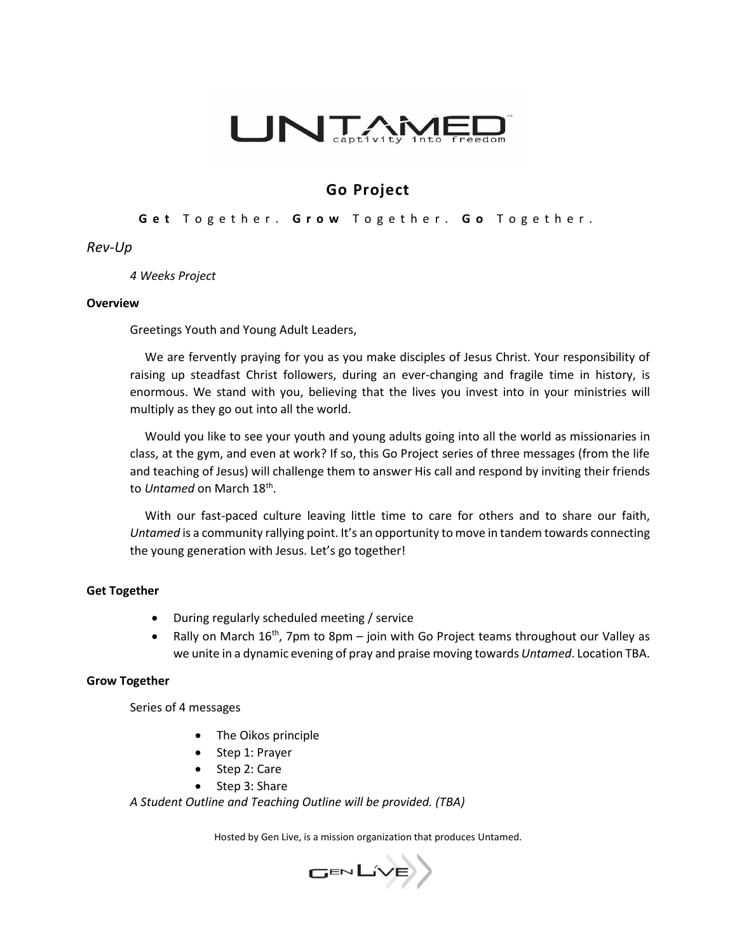

# **Go Project**

## **G e t** T o g e t h e r . **G r o w** T o g e t h e r . **G o** T o g e t h e r .

## *Rev-Up*

#### *4 Weeks Project*

#### **Overview**

Greetings Youth and Young Adult Leaders,

 We are fervently praying for you as you make disciples of Jesus Christ. Your responsibility of raising up steadfast Christ followers, during an ever-changing and fragile time in history, is enormous. We stand with you, believing that the lives you invest into in your ministries will multiply as they go out into all the world.

 Would you like to see your youth and young adults going into all the world as missionaries in class, at the gym, and even at work? If so, this Go Project series of three messages (from the life and teaching of Jesus) will challenge them to answer His call and respond by inviting their friends to *Untamed* on March 18<sup>th</sup>.

 With our fast-paced culture leaving little time to care for others and to share our faith, *Untamed* is a community rallying point. It's an opportunity to move in tandem towards connecting the young generation with Jesus. Let's go together!

### **Get Together**

- During regularly scheduled meeting / service
- Rally on March  $16^{th}$ , 7pm to 8pm join with Go Project teams throughout our Valley as we unite in a dynamic evening of pray and praise moving towards *Untamed*. Location TBA.

#### **Grow Together**

Series of 4 messages

- The Oikos principle
- Step 1: Prayer
- Step 2: Care
- Step 3: Share

*A Student Outline and Teaching Outline will be provided. (TBA)*

Hosted by Gen Live, is a mission organization that produces Untamed.

GENLIVE